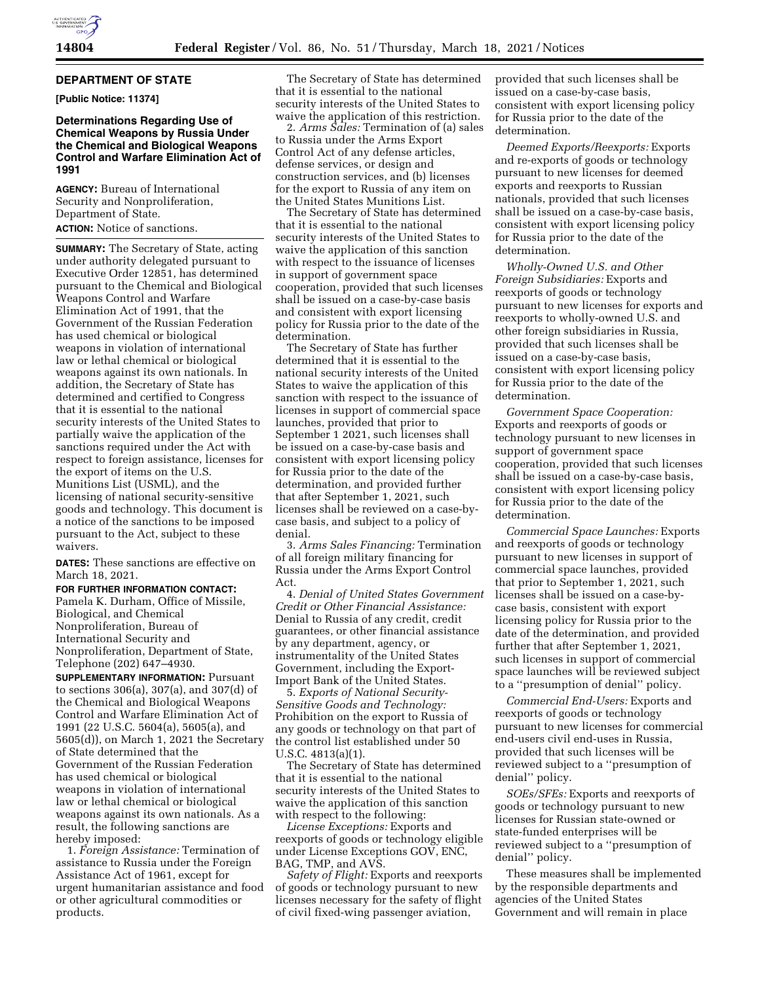

## **DEPARTMENT OF STATE**

**[Public Notice: 11374]** 

## **Determinations Regarding Use of Chemical Weapons by Russia Under the Chemical and Biological Weapons Control and Warfare Elimination Act of 1991**

**AGENCY:** Bureau of International Security and Nonproliferation, Department of State. **ACTION:** Notice of sanctions.

**SUMMARY:** The Secretary of State, acting under authority delegated pursuant to Executive Order 12851, has determined pursuant to the Chemical and Biological Weapons Control and Warfare Elimination Act of 1991, that the Government of the Russian Federation has used chemical or biological weapons in violation of international law or lethal chemical or biological weapons against its own nationals. In addition, the Secretary of State has determined and certified to Congress that it is essential to the national security interests of the United States to partially waive the application of the sanctions required under the Act with respect to foreign assistance, licenses for the export of items on the U.S. Munitions List (USML), and the licensing of national security-sensitive goods and technology. This document is a notice of the sanctions to be imposed pursuant to the Act, subject to these waivers.

**DATES:** These sanctions are effective on March 18, 2021.

## **FOR FURTHER INFORMATION CONTACT:**

Pamela K. Durham, Office of Missile, Biological, and Chemical Nonproliferation, Bureau of International Security and Nonproliferation, Department of State, Telephone (202) 647–4930.

**SUPPLEMENTARY INFORMATION:** Pursuant to sections 306(a), 307(a), and 307(d) of the Chemical and Biological Weapons Control and Warfare Elimination Act of 1991 (22 U.S.C. 5604(a), 5605(a), and 5605(d)), on March 1, 2021 the Secretary of State determined that the Government of the Russian Federation has used chemical or biological weapons in violation of international law or lethal chemical or biological weapons against its own nationals. As a result, the following sanctions are hereby imposed:

1. *Foreign Assistance:* Termination of assistance to Russia under the Foreign Assistance Act of 1961, except for urgent humanitarian assistance and food or other agricultural commodities or products.

The Secretary of State has determined that it is essential to the national security interests of the United States to waive the application of this restriction.

2. *Arms Sales:* Termination of (a) sales to Russia under the Arms Export Control Act of any defense articles, defense services, or design and construction services, and (b) licenses for the export to Russia of any item on the United States Munitions List.

The Secretary of State has determined that it is essential to the national security interests of the United States to waive the application of this sanction with respect to the issuance of licenses in support of government space cooperation, provided that such licenses shall be issued on a case-by-case basis and consistent with export licensing policy for Russia prior to the date of the determination.

The Secretary of State has further determined that it is essential to the national security interests of the United States to waive the application of this sanction with respect to the issuance of licenses in support of commercial space launches, provided that prior to September 1 2021, such licenses shall be issued on a case-by-case basis and consistent with export licensing policy for Russia prior to the date of the determination, and provided further that after September 1, 2021, such licenses shall be reviewed on a case-bycase basis, and subject to a policy of denial.

3. *Arms Sales Financing:* Termination of all foreign military financing for Russia under the Arms Export Control Act.

4. *Denial of United States Government Credit or Other Financial Assistance:*  Denial to Russia of any credit, credit guarantees, or other financial assistance by any department, agency, or instrumentality of the United States Government, including the Export-Import Bank of the United States.

5. *Exports of National Security-Sensitive Goods and Technology:*  Prohibition on the export to Russia of any goods or technology on that part of the control list established under 50 U.S.C. 4813(a)(1).

The Secretary of State has determined that it is essential to the national security interests of the United States to waive the application of this sanction with respect to the following:

*License Exceptions:* Exports and reexports of goods or technology eligible under License Exceptions GOV, ENC, BAG, TMP, and AVS.

*Safety of Flight:* Exports and reexports of goods or technology pursuant to new licenses necessary for the safety of flight of civil fixed-wing passenger aviation,

provided that such licenses shall be issued on a case-by-case basis, consistent with export licensing policy for Russia prior to the date of the determination.

*Deemed Exports/Reexports:* Exports and re-exports of goods or technology pursuant to new licenses for deemed exports and reexports to Russian nationals, provided that such licenses shall be issued on a case-by-case basis, consistent with export licensing policy for Russia prior to the date of the determination.

*Wholly-Owned U.S. and Other Foreign Subsidiaries:* Exports and reexports of goods or technology pursuant to new licenses for exports and reexports to wholly-owned U.S. and other foreign subsidiaries in Russia, provided that such licenses shall be issued on a case-by-case basis, consistent with export licensing policy for Russia prior to the date of the determination.

*Government Space Cooperation:*  Exports and reexports of goods or technology pursuant to new licenses in support of government space cooperation, provided that such licenses shall be issued on a case-by-case basis, consistent with export licensing policy for Russia prior to the date of the determination.

*Commercial Space Launches:* Exports and reexports of goods or technology pursuant to new licenses in support of commercial space launches, provided that prior to September 1, 2021, such licenses shall be issued on a case-bycase basis, consistent with export licensing policy for Russia prior to the date of the determination, and provided further that after September 1, 2021, such licenses in support of commercial space launches will be reviewed subject to a ''presumption of denial'' policy.

*Commercial End-Users:* Exports and reexports of goods or technology pursuant to new licenses for commercial end-users civil end-uses in Russia, provided that such licenses will be reviewed subject to a ''presumption of denial'' policy.

*SOEs/SFEs:* Exports and reexports of goods or technology pursuant to new licenses for Russian state-owned or state-funded enterprises will be reviewed subject to a ''presumption of denial'' policy.

These measures shall be implemented by the responsible departments and agencies of the United States Government and will remain in place